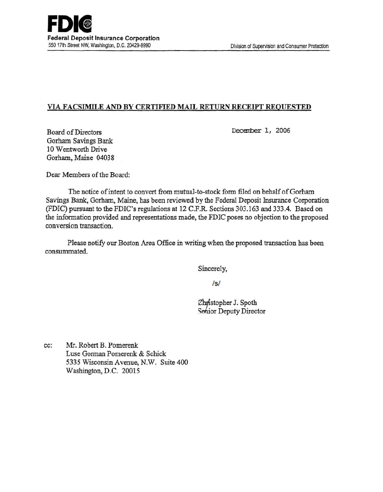# VIA FACSIMILE AND BY CERTIFIED MAIL RETURN RECEIPT REQUESTED

Decenber 1, 2006

Board of Directors Gorham Savings Bank 10 Wentworth Drive Gorham, Maine 04038

Dear Members of the Board:

The notice of intent to convert from mutual-to-stock form filed on behalf of Gorham Savings Bank, Gorham, Maine, has been reviewed by the Federal Deposit Insurance Corporation (FDIC) pursuant to the FDIC's regulations at 12 C.F.R. Sections 303.163 and 333.4. Based on the information provided and representations made, the FDIC poses no objection to the proposed conversion transaction.

Please notify our Boston Area Office in writing when the proposed transaction has been consummated.

Sincerely,

/s/

Christopher J. Spoth Sohior Deputy Director

cc: Mr. Robert B. Pomerenk Luse Gorman Pomerenk & Schick 5335 Wisconsin Avenue, N.W. Suite 400 Washington, D.C. 20015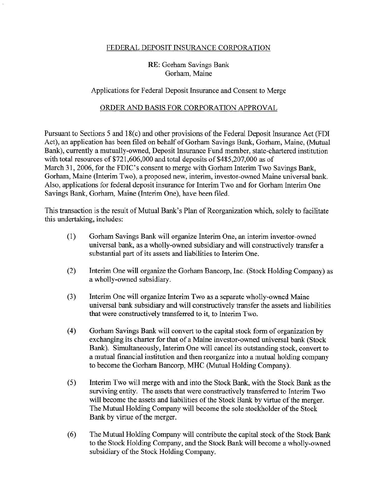## FEDERAL DEPOSIT INSURANCE CORPORATION

## RE: Gorham Savings Bank Gorham, Maine

#### Applications for Federal Deposit Insurance and Consent to Merge

#### ORDER AND BASIS FOR CORPORATION APPROVAL

Pursuant to Sections 5 and 18(c) and other provisions of the Federal Deposit Insurance Act (FDI Act), an application has been filed on behalf of Gorham Savings Bank, Gorham, Maine, (Mutual Bank), currently a mutually-owned, Deposit Insurance Fund member, state-chartered institution with total resources of \$721,606,000 and total deposits of \$485,207,000 as of March 31, 2006, for the FDIC's consent to merge with Gorham Interim Two Savings Bank, Gorham, Maine (Interim Two), a proposed new, interim, investor-owned Maine universal bank. Also, applications for federal deposit insurance for Interim Two and for Gorham Interim One Savings Bank, Gorham, Maine (Interim One), have been filed.

This transaction is the result of Mutual Bank's Plan of Reorganization which, solely to facilitate this undertaking, includes:

- ( 1) Gorham Savings Bank will organize Interim One, an interim investor-owned universal bank, as a wholly-owned subsidiary and will constructively transfer a substantial part of its assets and liabilities to Interim One.
- (2) Interim One will organize the Gorham Bancorp, Inc. (Stock Holding Company) as a wholly-owned subsidiary.
- (3) Interim One will organize Interim Two as a separate wholly-owned Maine universal bank subsidiary and will constructively transfer the assets and liabilities that were constructively transferred to it, to Interim Two.
- (4) Gorham Savings Bank will convert to the capital stock form of organization by exchanging its charter for that of a Maine investor-owned universal bank (Stock Bank). Simultaneously, Interim One will cancel its outstanding stock, convert to a mutual financial institution and then reorganize into a mutual holding company to become the Gorham Bancorp, MHC (Mutual Holding Company).
- (5) Interim Two will merge with and into the Stock Bank, with the Stock Bank as the surviving entity. The assets that were constructively transferred to Interim Two will become the assets and liabilities of the Stock Bank by virtue of the merger. The Mutual Holding Company will become the sole stockholder of the Stock Bank by virtue of the merger.
- (6) The Mutual Holding Company will contribute the capital stock of the Stock Bank to the Stock Holding Company, and the Stock Bank will become a wholly-owned subsidiary of the Stock Holding Company.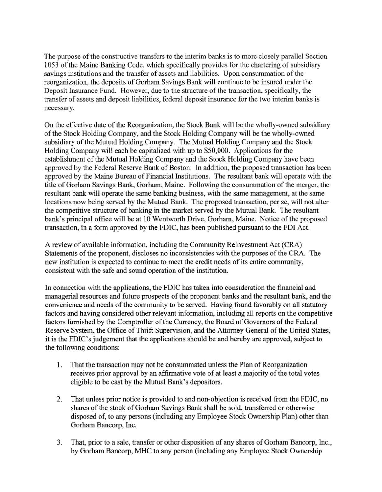The purpose of the constructive transfers to the interim banks is to more closely parallel Section 1053 of the Maine Banking Code, which specifically provides for the chartering of subsidiary savings institutions and the transfer of assets and liabilities. Upon consummation of the reorganization, the deposits of Gorham Savings Bank will continue to be insured under the Deposit Insurance Fund. However, due to the structure of the transaction, specifically, the transfer of assets and deposit liabilities, federal deposit insurance for the two interim banks is necessary.

On the effective date of the Reorganization, the Stock Bank will be the wholly-owned subsidiary of the Stock Holding Company, and the Stock Holding Company will be the wholly-owned subsidiary of the Mutual Holding Company. The Mutual Holding Company and the Stock Holding Company will each be capitalized with up to \$50,000. Applications for the establishment of the Mutual Holding Company and the Stock Holding Company have been approved by the Federal Reserve Bank of Boston. In addition, the proposed transaction has been approved by the Maine Bureau of Financial Institutions. The resultant bank will operate with the title of Gorham Savings Bank, Gorham, Maine. Following the consummation of the merger, the resultant bank will operate the same banking business, with the same management, at the same locations now being served by the Mutual Bank. The proposed transaction, per se, will not alter the competitive structure of banking in the market served by the Mutual Bank. The resultant bank's principal office will be at 10 Wentworth Drive, Gorham, Maine. Notice of the proposed transaction, in a fonn approved by the FDIC, has been published pursuant to the FDI Act.

A review of available information, including the Community Reinvestment Act (CRA) Statements of the proponent, discloses no inconsistencies with the purposes of the CRA. The new institution is expected to continue to meet the credit needs of its entire community, consistent with the safe and sound operation of the institution.

In connection with the applications, the FDIC has taken into consideration the financial and managerial resources and future prospects of the proponent banks and the resultant bank, and the convenience and needs of the community to be served. Having found favorably on all statutory factors and having considered other relevant information, including all reports on the competitive factors furnished by the Comptroller of the Currency, the Board of Governors of the Federal Reserve System, the Office of Thrift Supervision, and the Attorney General of the United States, it is the FDIC's judgement that the applications should be and hereby are approved, subject to the following conditions:

- 1. That the transaction may not be consummated unless the Plan of Reorganization receives prior approval by an affirmative vote of at least a majority of the total votes eligible to be cast by the Mutual Bank's depositors.
- 2. That unless prior notice is provided to and non-objection is received from the FDIC, no shares of the stock of Gorham Savings Bank shall be sold, transferred or otherwise disposed of, to any persons (including any Employee Stock Ownership Plan) other than Gorham Bancorp, Inc.
- 3. That, prior to a sale, transfer or other disposition of any shares of Gorham Bancorp, Inc., by Gorham Bancorp, MHC to any person (including any Employee Stock Ownership